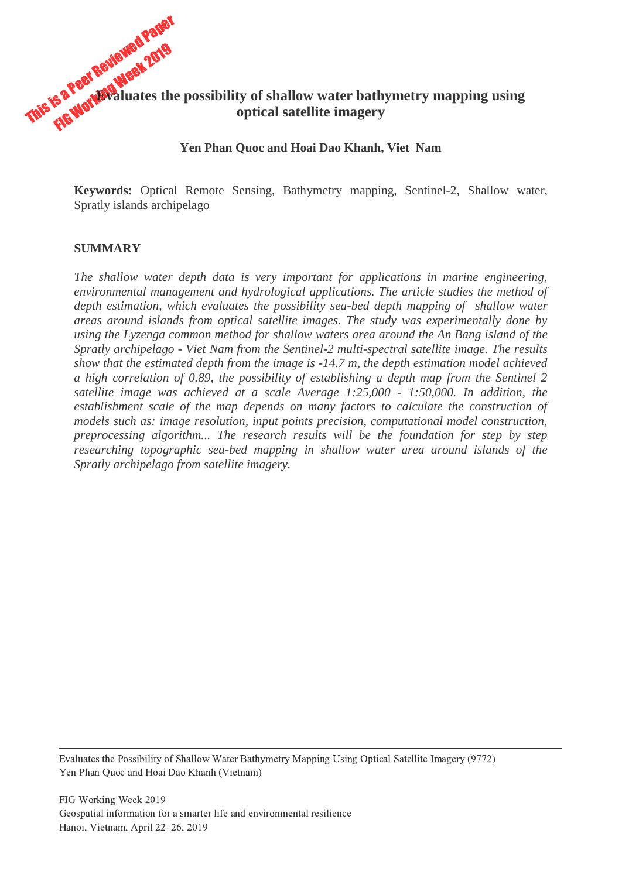# This is a Peer Reviewed Pane Fa Peer Revieweek 2019 **Evaluates the possibility of shallow water bathymetry mapping using optical satellite imagery**

#### **Yen Phan Quoc and Hoai Dao Khanh, Viet Nam**

**Keywords:** Optical Remote Sensing, Bathymetry mapping, Sentinel-2, Shallow water, Spratly islands archipelago

### **SUMMARY**

*The shallow water depth data is very important for applications in marine engineering, environmental management and hydrological applications. The article studies the method of depth estimation, which evaluates the possibility sea-bed depth mapping of shallow water areas around islands from optical satellite images. The study was experimentally done by using the Lyzenga common method for shallow waters area around the An Bang island of the Spratly archipelago - Viet Nam from the Sentinel-2 multi-spectral satellite image. The results show that the estimated depth from the image is -14.7 m, the depth estimation model achieved a high correlation of 0.89, the possibility of establishing a depth map from the Sentinel 2 satellite image was achieved at a scale Average 1:25,000 - 1:50,000. In addition, the establishment scale of the map depends on many factors to calculate the construction of models such as: image resolution, input points precision, computational model construction, preprocessing algorithm... The research results will be the foundation for step by step researching topographic sea-bed mapping in shallow water area around islands of the Spratly archipelago from satellite imagery.*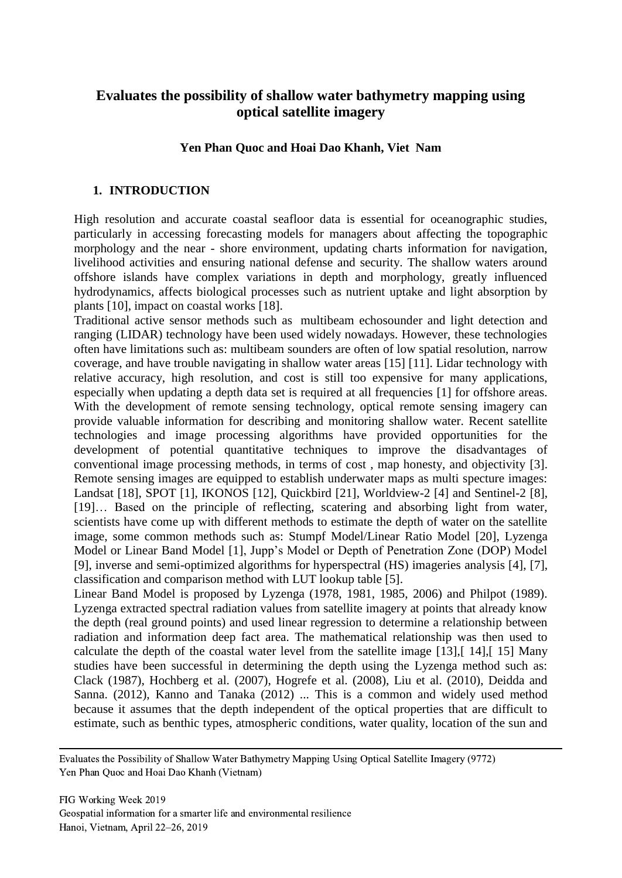## **Evaluates the possibility of shallow water bathymetry mapping using optical satellite imagery**

## **Yen Phan Quoc and Hoai Dao Khanh, Viet Nam**

#### **1. INTRODUCTION**

High resolution and accurate coastal seafloor data is essential for oceanographic studies, particularly in accessing forecasting models for managers about affecting the topographic morphology and the near - shore environment, updating charts information for navigation, livelihood activities and ensuring national defense and security. The shallow waters around offshore islands have complex variations in depth and morphology, greatly influenced hydrodynamics, affects biological processes such as nutrient uptake and light absorption by plants [\[10\]](#page-10-0), impact on coastal works [\[18\]](#page-10-1).

Traditional active sensor methods such as multibeam echosounder and light detection and ranging (LIDAR) technology have been used widely nowadays. However, these technologies often have limitations such as: multibeam sounders are often of low spatial resolution, narrow coverage, and have trouble navigating in shallow water areas [\[15\]](#page-10-2) [\[11\]](#page-10-3). Lidar technology with relative accuracy, high resolution, and cost is still too expensive for many applications, especially when updating a depth data set is required at all frequencies [\[1\]](#page-9-0) for offshore areas. With the development of remote sensing technology, optical remote sensing imagery can provide valuable information for describing and monitoring shallow water. Recent satellite technologies and image processing algorithms have provided opportunities for the development of potential quantitative techniques to improve the disadvantages of conventional image processing methods, in terms of cost , map honesty, and objectivity [\[3\]](#page-9-1). Remote sensing images are equipped to establish underwater maps as multi specture images: Landsat [\[18\]](#page-10-1), SPOT [\[1\]](#page-9-0), IKONOS [\[12\]](#page-10-4), Quickbird [\[21\]](#page-10-5), Worldview-2 [\[4\]](#page-9-2) and Sentinel-2 [\[8\]](#page-9-3), [\[19\]](#page-10-6)… Based on the principle of reflecting, scatering and absorbing light from water, scientists have come up with different methods to estimate the depth of water on the satellite image, some common methods such as: Stumpf Model/Linear Ratio Model [\[20\]](#page-10-7), Lyzenga Model or Linear Band Model [\[1\]](#page-9-0), Jupp's Model or Depth of Penetration Zone (DOP) Model [\[9\]](#page-9-4), inverse and semi-optimized algorithms for hyperspectral (HS) imageries analysis [\[4\]](#page-9-2), [\[7\]](#page-9-5), classification and comparison method with LUT lookup table [\[5\]](#page-9-6).

Linear Band Model is proposed by Lyzenga (1978, 1981, 1985, 2006) and Philpot (1989). Lyzenga extracted spectral radiation values from satellite imagery at points that already know the depth (real ground points) and used linear regression to determine a relationship between radiation and information deep fact area. The mathematical relationship was then used to calculate the depth of the coastal water level from the satellite image [\[13\]](#page-10-8),[ [14\]](#page-10-9),[ [15\]](#page-10-2) Many studies have been successful in determining the depth using the Lyzenga method such as: Clack (1987), Hochberg et al. (2007), Hogrefe et al. (2008), Liu et al. (2010), Deidda and Sanna. (2012), Kanno and Tanaka (2012) ... This is a common and widely used method because it assumes that the depth independent of the optical properties that are difficult to estimate, such as benthic types, atmospheric conditions, water quality, location of the sun and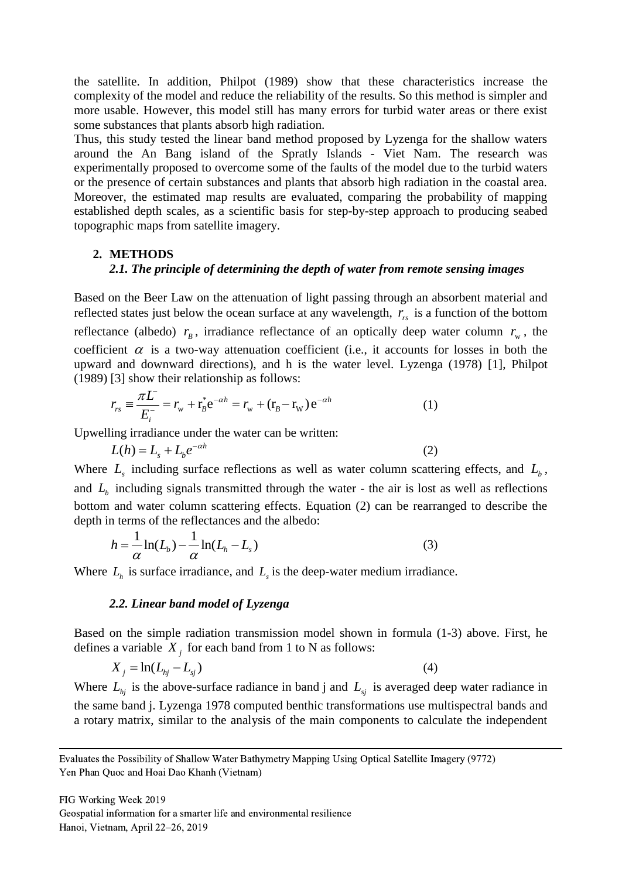the satellite. In addition, Philpot (1989) show that these characteristics increase the complexity of the model and reduce the reliability of the results. So this method is simpler and more usable. However, this model still has many errors for turbid water areas or there exist some substances that plants absorb high radiation.

Thus, this study tested the linear band method proposed by Lyzenga for the shallow waters around the An Bang island of the Spratly Islands - Viet Nam. The research was experimentally proposed to overcome some of the faults of the model due to the turbid waters or the presence of certain substances and plants that absorb high radiation in the coastal area. Moreover, the estimated map results are evaluated, comparing the probability of mapping established depth scales, as a scientific basis for step-by-step approach to producing seabed topographic maps from satellite imagery.

#### **2. METHODS**

#### *2.1. The principle of determining the depth of water from remote sensing images*

Based on the Beer Law on the attenuation of light passing through an absorbent material and reflected states just below the ocean surface at any wavelength,  $r_{rs}$  is a function of the bottom reflectance (albedo)  $r_B$ , irradiance reflectance of an optically deep water column  $r_w$ , the coefficient  $\alpha$  is a two-way attenuation coefficient (i.e., it accounts for losses in both the upward and downward directions), and h is the water level. Lyzenga (1978) [\[1\]](#page-9-0), Philpot

(1989) [3] show their relationship as follows:  
\n
$$
r_{rs} \equiv \frac{\pi L}{E_i^-} = r_w + r_B^* e^{-\alpha h} = r_w + (r_B - r_w) e^{-\alpha h}
$$
\n(1)

Upwelling irradiance under the water can be written:

$$
L(h) = Ls + Lb e- $\alpha$ h
$$
 (2)

Where  $L<sub>s</sub>$  including surface reflections as well as water column scattering effects, and  $L<sub>b</sub>$ , and  $L<sub>b</sub>$  including signals transmitted through the water - the air is lost as well as reflections bottom and water column scattering effects. Equation (2) can be rearranged to describe the

depth in terms of the reflectances and the albedo:  
\n
$$
h = \frac{1}{\alpha} \ln(L_b) - \frac{1}{\alpha} \ln(L_h - L_s)
$$
\n(3)

Where  $L_h$  is surface irradiance, and  $L_s$  is the deep-water medium irradiance.

#### *2.2. Linear band model of Lyzenga*

Based on the simple radiation transmission model shown in formula (1-3) above. First, he defines a variable  $X_j$  for each band from 1 to N as follows:

$$
X_j = \ln(L_{hj} - L_{sj})
$$
\n<sup>(4)</sup>

Where  $L_{hj}$  is the above-surface radiance in band j and  $L_{sj}$  is averaged deep water radiance in the same band j. Lyzenga 1978 computed benthic transformations use multispectral bands and a rotary matrix, similar to the analysis of the main components to calculate the independent

Evaluates the Possibility of Shallow Water Bathymetry Mapping Using Optical Satellite Imagery (9772) Yen Phan Quoc and Hoai Dao Khanh (Vietnam)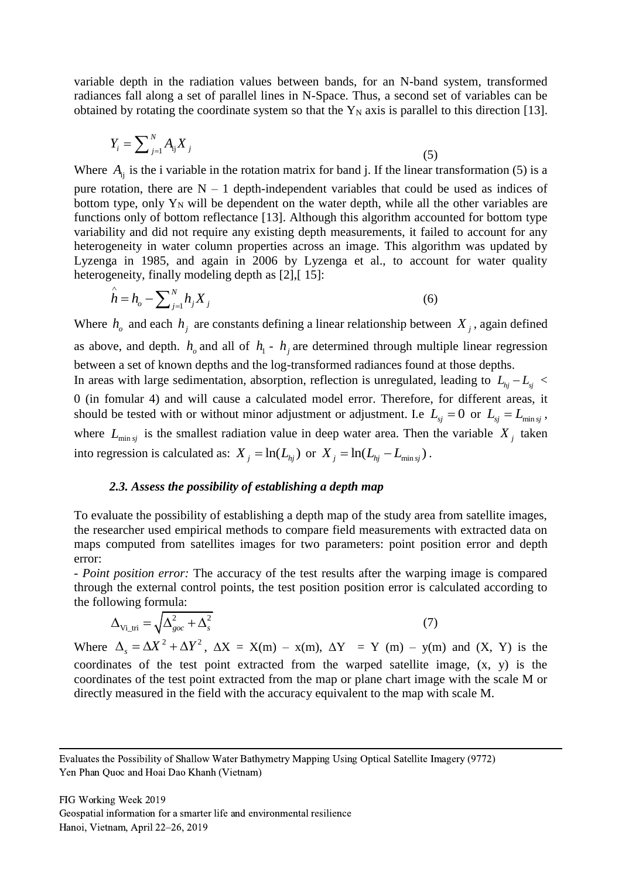variable depth in the radiation values between bands, for an N-band system, transformed radiances fall along a set of parallel lines in N-Space. Thus, a second set of variables can be obtained by rotating the coordinate system so that the  $Y_N$  axis is parallel to this direction [\[13\]](#page-10-8).

$$
Y_i = \sum_{j=1}^{N} A_{ij} X_j
$$
 (5)

Where  $A_{ij}$  is the i variable in the rotation matrix for band j. If the linear transformation (5) is a

pure rotation, there are  $N - 1$  depth-independent variables that could be used as indices of bottom type, only  $Y_N$  will be dependent on the water depth, while all the other variables are functions only of bottom reflectance [\[13\]](#page-10-8). Although this algorithm accounted for bottom type variability and did not require any existing depth measurements, it failed to account for any heterogeneity in water column properties across an image. This algorithm was updated by Lyzenga in 1985, and again in 2006 by Lyzenga et al., to account for water quality heterogeneity, finally modeling depth as [\[2\]](#page-9-7), [15]:

$$
\hat{h} = h_o - \sum_{j=1}^{N} h_j X_j
$$
\n(6)

Where  $h_i$  and each  $h_j$  are constants defining a linear relationship between  $X_j$ , again defined as above, and depth.  $h_0$  and all of  $h_1 - h_j$  are determined through multiple linear regression between a set of known depths and the log-transformed radiances found at those depths. In areas with large sedimentation, absorption, reflection is unregulated, leading to  $L_{hj} - L_{sj}$  < 0 (in fomular 4) and will cause a calculated model error. Therefore, for different areas, it should be tested with or without minor adjustment or adjustment. I.e  $L_{sj} = 0$  or  $L_{sj} = L_{\min sj}$ , where  $L_{\min s_j}$  is the smallest radiation value in deep water area. Then the variable  $X_j$  taken into regression is calculated as:  $X_j = \ln(L_{hj})$  or  $X_j = \ln(L_{hj} - L_{\min sj})$ .

#### *2.3. Assess the possibility of establishing a depth map*

To evaluate the possibility of establishing a depth map of the study area from satellite images, the researcher used empirical methods to compare field measurements with extracted data on maps computed from satellites images for two parameters: point position error and depth error:

*- Point position error:* The accuracy of the test results after the warping image is compared through the external control points, the test position position error is calculated according to the following formula:

$$
\Delta_{\text{Vi\_tri}} = \sqrt{\Delta_{\text{goc}}^2 + \Delta_{\text{s}}^2}
$$

$$
(7)
$$

Where  $\Delta_s = \Delta X^2 + \Delta Y^2$ ,  $\Delta X = X(m) - x(m)$ ,  $\Delta Y = Y(m) - y(m)$  and  $(X, Y)$  is the coordinates of the test point extracted from the warped satellite image, (x, y) is the coordinates of the test point extracted from the map or plane chart image with the scale M or directly measured in the field with the accuracy equivalent to the map with scale M.

Evaluates the Possibility of Shallow Water Bathymetry Mapping Using Optical Satellite Imagery (9772) Yen Phan Quoc and Hoai Dao Khanh (Vietnam)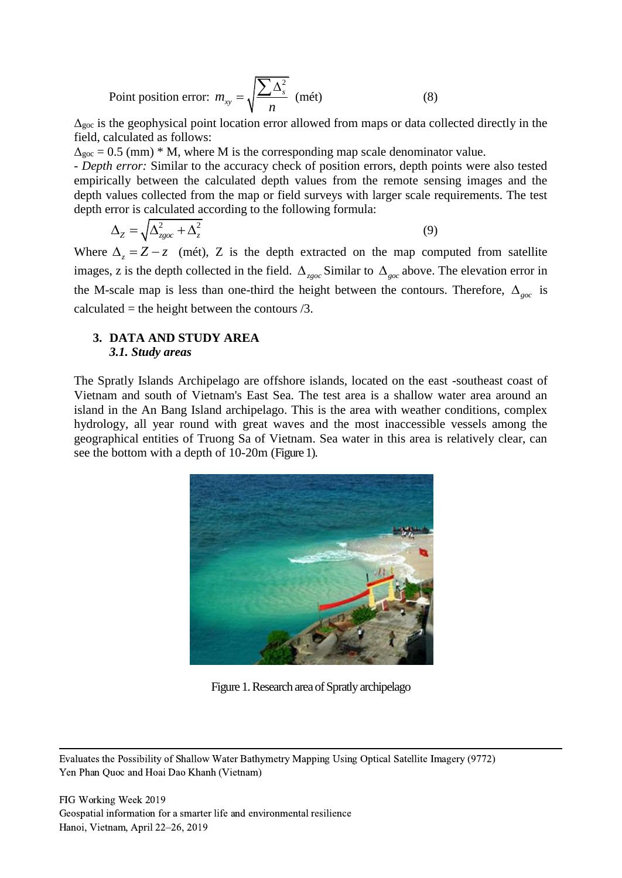Point position error: 2  $m_{xy} = \sqrt{\frac{24M_{s}}{n}}$  $=\sqrt{\frac{\sum A_s^2}{\text{m\text{ (m\text{)}}}}}$  (mét) (8)

 $\Delta_{\text{goc}}$  is the geophysical point location error allowed from maps or data collected directly in the field, calculated as follows:

 $\Delta_{\text{goc}} = 0.5$  (mm) \* M, where M is the corresponding map scale denominator value.

- *Depth error:* Similar to the accuracy check of position errors, depth points were also tested empirically between the calculated depth values from the remote sensing images and the depth values collected from the map or field surveys with larger scale requirements. The test depth error is calculated according to the following formula:

$$
\Delta_Z = \sqrt{\Delta_{zgoc}^2 + \Delta_z^2} \tag{9}
$$

Where  $\Delta_z = Z - z$  (mét), Z is the depth extracted on the map computed from satellite images, z is the depth collected in the field.  $\Delta_{z\text{goc}}$  Similar to  $\Delta_{\text{goc}}$  above. The elevation error in the M-scale map is less than one-third the height between the contours. Therefore,  $\Delta_{\text{goc}}$  is calculated = the height between the contours  $/3$ .

## **3. DATA AND STUDY AREA** *3.1. Study areas*

The Spratly Islands Archipelago are offshore islands, located on the east -southeast coast of Vietnam and south of Vietnam's East Sea. The test area is a shallow water area around an island in the An Bang Island archipelago. This is the area with weather conditions, complex hydrology, all year round with great waves and the most inaccessible vessels among the geographical entities of Truong Sa of Vietnam. Sea water in this area is relatively clear, can see the bottom with a depth of 10-20m (Figure 1).



Figure 1. Research area of Spratly archipelago

Evaluates the Possibility of Shallow Water Bathymetry Mapping Using Optical Satellite Imagery (9772) Yen Phan Quoc and Hoai Dao Khanh (Vietnam)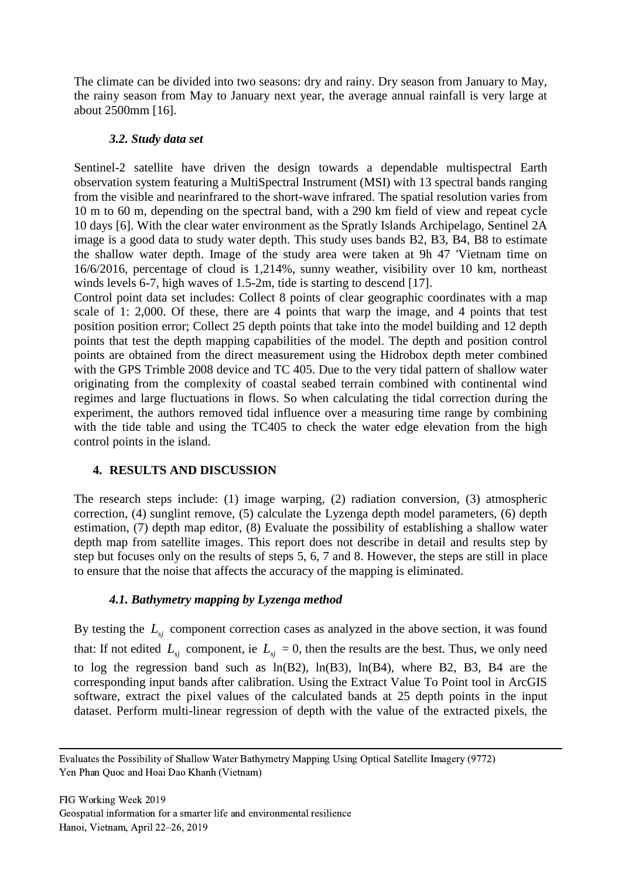The climate can be divided into two seasons: dry and rainy. Dry season from January to May, the rainy season from May to January next year, the average annual rainfall is very large at about 2500mm [\[16\]](#page-10-10).

## *3.2. Study data set*

Sentinel-2 satellite have driven the design towards a dependable multispectral Earth observation system featuring a MultiSpectral Instrument (MSI) with 13 spectral bands ranging from the visible and nearinfrared to the short-wave infrared. The spatial resolution varies from 10 m to 60 m, depending on the spectral band, with a 290 km field of view and repeat cycle 10 days [\[6\]](#page-9-8). With the clear water environment as the Spratly Islands Archipelago, Sentinel 2A image is a good data to study water depth. This study uses bands B2, B3, B4, B8 to estimate the shallow water depth. Image of the study area were taken at 9h 47 'Vietnam time on 16/6/2016, percentage of cloud is 1,214%, sunny weather, visibility over 10 km, northeast winds levels 6-7, high waves of 1.5-2m, tide is starting to descend [\[17\]](#page-10-11).

Control point data set includes: Collect 8 points of clear geographic coordinates with a map scale of 1: 2,000. Of these, there are 4 points that warp the image, and 4 points that test position position error; Collect 25 depth points that take into the model building and 12 depth points that test the depth mapping capabilities of the model. The depth and position control points are obtained from the direct measurement using the Hidrobox depth meter combined with the GPS Trimble 2008 device and TC 405. Due to the very tidal pattern of shallow water originating from the complexity of coastal seabed terrain combined with continental wind regimes and large fluctuations in flows. So when calculating the tidal correction during the experiment, the authors removed tidal influence over a measuring time range by combining with the tide table and using the TC405 to check the water edge elevation from the high control points in the island.

## **4. RESULTS AND DISCUSSION**

The research steps include: (1) image warping, (2) radiation conversion, (3) atmospheric correction, (4) sunglint remove, (5) calculate the Lyzenga depth model parameters, (6) depth estimation, (7) depth map editor, (8) Evaluate the possibility of establishing a shallow water depth map from satellite images. This report does not describe in detail and results step by step but focuses only on the results of steps 5, 6, 7 and 8. However, the steps are still in place to ensure that the noise that affects the accuracy of the mapping is eliminated.

## *4.1. Bathymetry mapping by Lyzenga method*

By testing the  $L_{\rm sj}$  component correction cases as analyzed in the above section, it was found that: If not edited  $L_{sj}$  component, ie  $L_{sj} = 0$ , then the results are the best. Thus, we only need to log the regression band such as  $ln(B2)$ ,  $ln(B3)$ ,  $ln(B4)$ , where B2, B3, B4 are the corresponding input bands after calibration. Using the Extract Value To Point tool in ArcGIS software, extract the pixel values of the calculated bands at 25 depth points in the input dataset. Perform multi-linear regression of depth with the value of the extracted pixels, the

Evaluates the Possibility of Shallow Water Bathymetry Mapping Using Optical Satellite Imagery (9772) Yen Phan Quoc and Hoai Dao Khanh (Vietnam)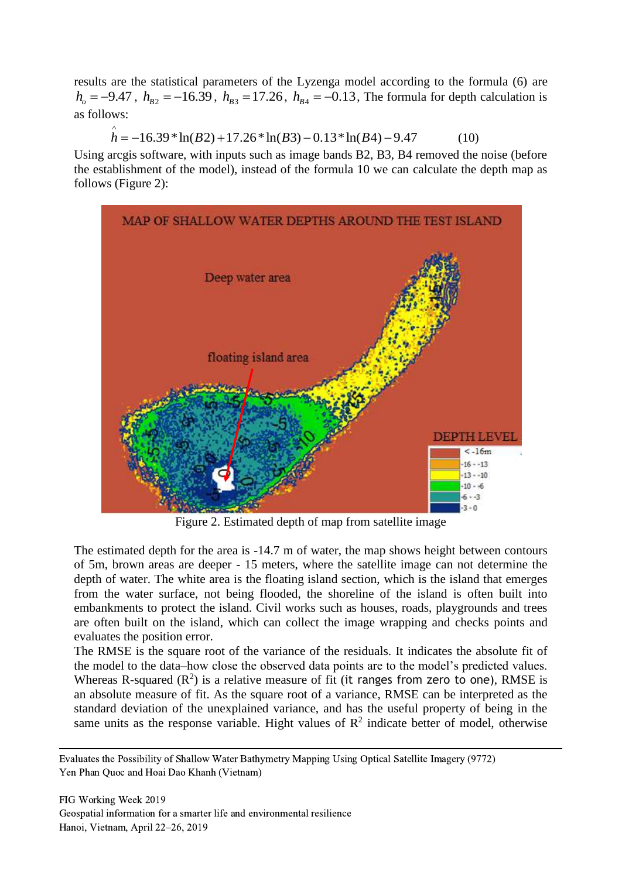results are the statistical parameters of the Lyzenga model according to the formula (6) are  $h_o = -9.47$ ,  $h_{B2} = -16.39$ ,  $h_{B3} = 17.26$ ,  $h_{B4} = -0.13$ , The formula for depth calculation is<br>as follows:<br> $\hat{h} = -16.39 * \ln(B2) + 17.26 * \ln(B3) - 0.13 * \ln(B4) - 9.47$  (10) as follows:

$$
\hat{h} = -16.39 * ln(B2) + 17.26 * ln(B3) - 0.13 * ln(B4) - 9.47
$$
 (10)

Using arcgis software, with inputs such as image bands B2, B3, B4 removed the noise (before the establishment of the model), instead of the formula 10 we can calculate the depth map as follows (Figure 2):



Figure 2. Estimated depth of map from satellite image

The estimated depth for the area is -14.7 m of water, the map shows height between contours of 5m, brown areas are deeper - 15 meters, where the satellite image can not determine the depth of water. The white area is the floating island section, which is the island that emerges from the water surface, not being flooded, the shoreline of the island is often built into embankments to protect the island. Civil works such as houses, roads, playgrounds and trees are often built on the island, which can collect the image wrapping and checks points and evaluates the position error.

The RMSE is the square root of the variance of the residuals. It indicates the absolute fit of the model to the data–how close the observed data points are to the model's predicted values. Whereas R-squared  $(R^2)$  is a relative measure of fit (it ranges from zero to one), RMSE is an absolute measure of fit. As the square root of a variance, RMSE can be interpreted as the standard deviation of the unexplained variance, and has the useful property of being in the same units as the response variable. Hight values of  $\mathbb{R}^2$  indicate better of model, otherwise

Evaluates the Possibility of Shallow Water Bathymetry Mapping Using Optical Satellite Imagery (9772) Yen Phan Quoc and Hoai Dao Khanh (Vietnam)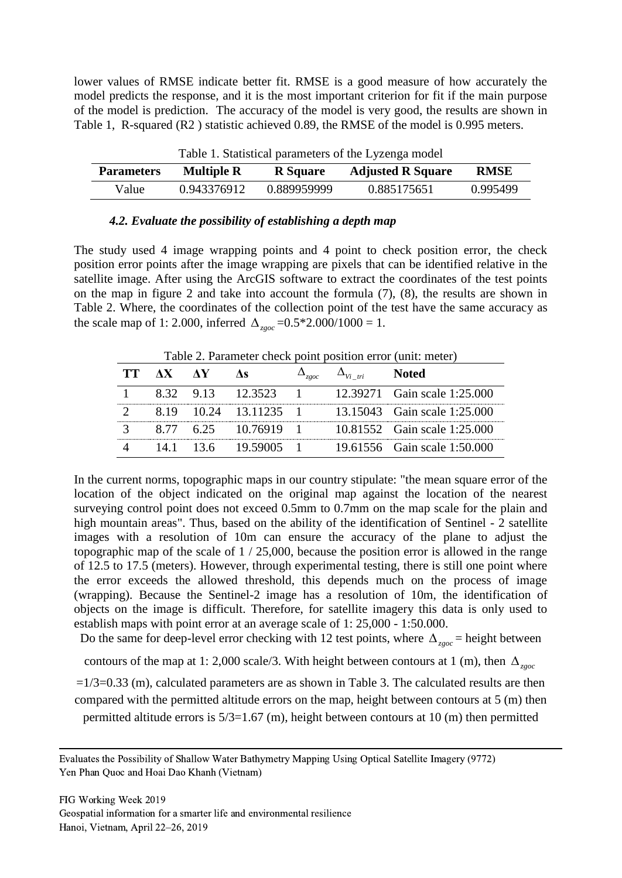lower values of RMSE indicate better fit. RMSE is a good measure of how accurately the model predicts the response, and it is the most important criterion for fit if the main purpose of the model is prediction. The accuracy of the model is very good, the results are shown in Table 1, R-squared (R2 ) statistic achieved 0.89, the RMSE of the model is 0.995 meters.

| Table 1. Statistical parameters of the Lyzenga model |                   |                 |                          |             |  |  |
|------------------------------------------------------|-------------------|-----------------|--------------------------|-------------|--|--|
| <b>Parameters</b>                                    | <b>Multiple R</b> | <b>R</b> Square | <b>Adjusted R Square</b> | <b>RMSE</b> |  |  |
| Value                                                | 0.943376912       | 0.889959999     | 0.885175651              | 0.995499    |  |  |

Table 1. Statistical parameters of the Lyzenga model

#### *4.2. Evaluate the possibility of establishing a depth map*

The study used 4 image wrapping points and 4 point to check position error, the check position error points after the image wrapping are pixels that can be identified relative in the satellite image. After using the ArcGIS software to extract the coordinates of the test points on the map in figure 2 and take into account the formula (7), (8), the results are shown in Table 2. Where, the coordinates of the collection point of the test have the same accuracy as the scale map of 1: 2.000, inferred  $\Delta_{z\text{goc}} = 0.5 \times 2.000 / 1000 = 1$ .

Table 2. Parameter check point position error (unit: meter)

| TT AX AY | Лs                    | 7.90C | $\Delta_{Vi~tri}$ | <b>Noted</b>                 |
|----------|-----------------------|-------|-------------------|------------------------------|
|          | 8.32 9.13 12.3523 1   |       |                   | 12.39271 Gain scale 1:25.000 |
|          | 8.19 10.24 13.11235 1 |       |                   | 13.15043 Gain scale 1:25.000 |
|          | 8.77 6.25 10.76919 1  |       |                   | 10.81552 Gain scale 1:25.000 |
|          | 14.1 13.6 19.59005 1  |       |                   | 19.61556 Gain scale 1:50.000 |

In the current norms, topographic maps in our country stipulate: "the mean square error of the location of the object indicated on the original map against the location of the nearest surveying control point does not exceed 0.5mm to 0.7mm on the map scale for the plain and high mountain areas". Thus, based on the ability of the identification of Sentinel - 2 satellite images with a resolution of 10m can ensure the accuracy of the plane to adjust the topographic map of the scale of 1 / 25,000, because the position error is allowed in the range of 12.5 to 17.5 (meters). However, through experimental testing, there is still one point where the error exceeds the allowed threshold, this depends much on the process of image (wrapping). Because the Sentinel-2 image has a resolution of 10m, the identification of objects on the image is difficult. Therefore, for satellite imagery this data is only used to establish maps with point error at an average scale of 1: 25,000 - 1:50.000.

Do the same for deep-level error checking with 12 test points, where  $\Delta_{z\text{goc}}$  = height between

contours of the map at 1: 2,000 scale/3. With height between contours at 1 (m), then  $\Delta_{z\text{g}oc}$ 

 $=1/3=0.33$  (m), calculated parameters are as shown in Table 3. The calculated results are then compared with the permitted altitude errors on the map, height between contours at 5 (m) then permitted altitude errors is 5/3=1.67 (m), height between contours at 10 (m) then permitted

Evaluates the Possibility of Shallow Water Bathymetry Mapping Using Optical Satellite Imagery (9772) Yen Phan Quoc and Hoai Dao Khanh (Vietnam)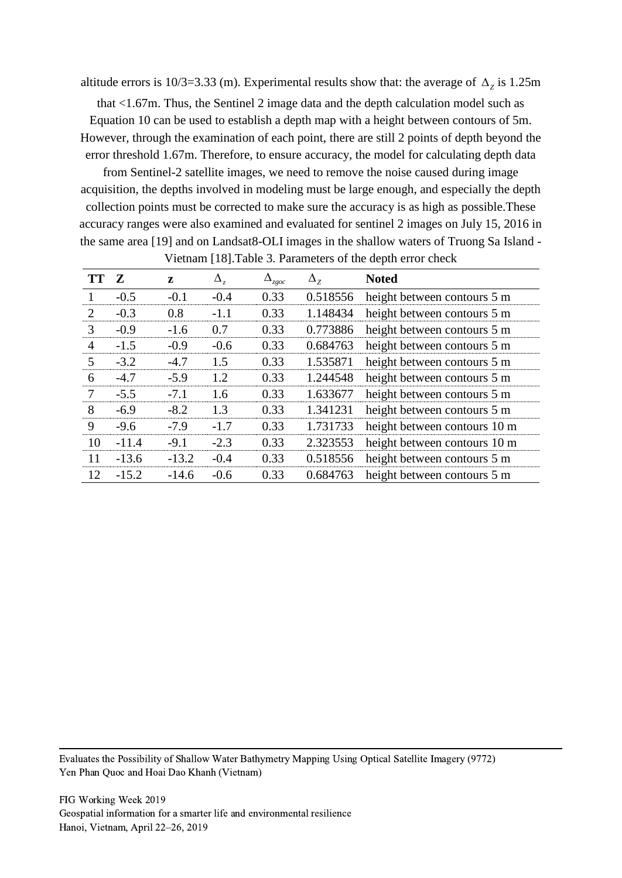altitude errors is 10/3=3.33 (m). Experimental results show that: the average of  $\Delta$ <sub>z</sub> is 1.25m

that <1.67m. Thus, the Sentinel 2 image data and the depth calculation model such as Equation 10 can be used to establish a depth map with a height between contours of 5m. However, through the examination of each point, there are still 2 points of depth beyond the error threshold 1.67m. Therefore, to ensure accuracy, the model for calculating depth data

from Sentinel-2 satellite images, we need to remove the noise caused during image acquisition, the depths involved in modeling must be large enough, and especially the depth collection points must be corrected to make sure the accuracy is as high as possible.These accuracy ranges were also examined and evaluated for sentinel 2 images on July 15, 2016 in the same area [19] and on Landsat8-OLI images in the shallow waters of Truong Sa Island -

| <b>TT</b>      | Z       | z       | $\Delta_{z}$ | $\Delta_{_{ZgOC}}$ | $\Delta_{z}$ | <b>Noted</b>                 |
|----------------|---------|---------|--------------|--------------------|--------------|------------------------------|
| 1              | $-0.5$  | $-0.1$  | $-0.4$       | 0.33               | 0.518556     | height between contours 5 m  |
| $\overline{2}$ | $-0.3$  | 0.8     | $-1.1$       | 0.33               | 1.148434     | height between contours 5 m  |
| 3              | $-0.9$  | $-1.6$  | 0.7          | 0.33               | 0.773886     | height between contours 5 m  |
| 4              | $-1.5$  | $-0.9$  | $-0.6$       | 0.33               | 0.684763     | height between contours 5 m  |
| 5              | $-3.2$  | $-4.7$  | 1.5          | 0.33               | 1.535871     | height between contours 5 m  |
| 6              | $-4.7$  | $-5.9$  | 1.2          | 0.33               | 1.244548     | height between contours 5 m  |
| $\overline{7}$ | $-5.5$  | $-7.1$  | 1.6          | 0.33               | 1.633677     | height between contours 5 m  |
| 8              | $-6.9$  | $-8.2$  | 1.3          | 0.33               | 1.341231     | height between contours 5 m  |
| 9              | $-9.6$  | $-7.9$  | $-1.7$       | 0.33               | 1.731733     | height between contours 10 m |
| 10             | $-11.4$ | $-9.1$  | $-2.3$       | 0.33               | 2.323553     | height between contours 10 m |
| 11             | $-13.6$ | $-13.2$ | $-0.4$       | 0.33               | 0.518556     | height between contours 5 m  |
| 12             | $-15.2$ | $-14.6$ | $-0.6$       | 0.33               | 0.684763     | height between contours 5 m  |

Vietnam [18].Table 3. Parameters of the depth error check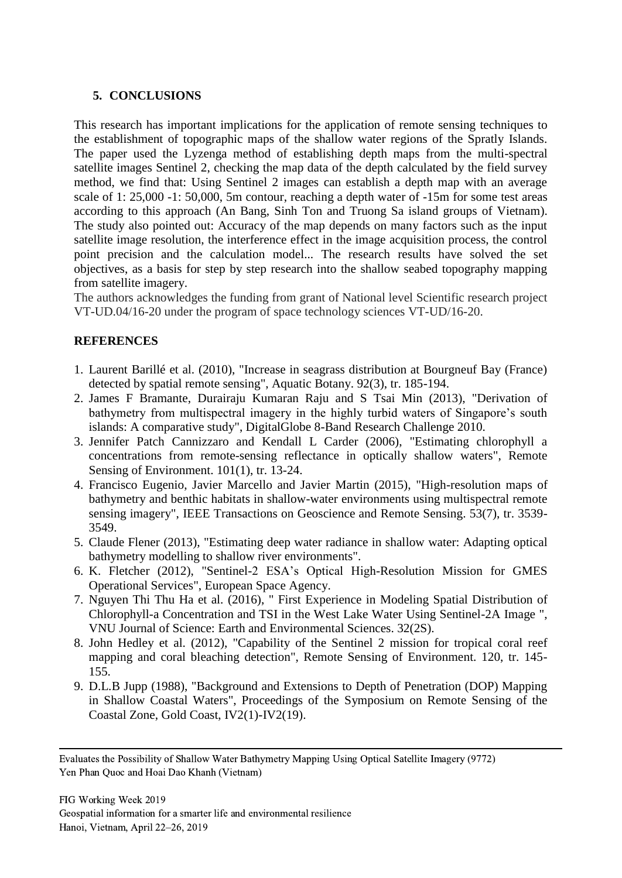## **5. CONCLUSIONS**

This research has important implications for the application of remote sensing techniques to the establishment of topographic maps of the shallow water regions of the Spratly Islands. The paper used the Lyzenga method of establishing depth maps from the multi-spectral satellite images Sentinel 2, checking the map data of the depth calculated by the field survey method, we find that: Using Sentinel 2 images can establish a depth map with an average scale of 1: 25,000 -1: 50,000, 5m contour, reaching a depth water of -15m for some test areas according to this approach (An Bang, Sinh Ton and Truong Sa island groups of Vietnam). The study also pointed out: Accuracy of the map depends on many factors such as the input satellite image resolution, the interference effect in the image acquisition process, the control point precision and the calculation model... The research results have solved the set objectives, as a basis for step by step research into the shallow seabed topography mapping from satellite imagery.

The authors acknowledges the funding from grant of National level Scientific research project VT-UD.04/16-20 under the program of space technology sciences VT-UD/16-20.

## **REFERENCES**

- <span id="page-9-0"></span>1. Laurent Barillé et al. (2010), "Increase in seagrass distribution at Bourgneuf Bay (France) detected by spatial remote sensing", Aquatic Botany. 92(3), tr. 185-194.
- <span id="page-9-7"></span>2. James F Bramante, Durairaju Kumaran Raju and S Tsai Min (2013), "Derivation of bathymetry from multispectral imagery in the highly turbid waters of Singapore's south islands: A comparative study", DigitalGlobe 8-Band Research Challenge 2010.
- <span id="page-9-1"></span>3. Jennifer Patch Cannizzaro and Kendall L Carder (2006), "Estimating chlorophyll a concentrations from remote-sensing reflectance in optically shallow waters", Remote Sensing of Environment. 101(1), tr. 13-24.
- <span id="page-9-2"></span>4. Francisco Eugenio, Javier Marcello and Javier Martin (2015), "High-resolution maps of bathymetry and benthic habitats in shallow-water environments using multispectral remote sensing imagery", IEEE Transactions on Geoscience and Remote Sensing. 53(7), tr. 3539- 3549.
- <span id="page-9-6"></span>5. Claude Flener (2013), "Estimating deep water radiance in shallow water: Adapting optical bathymetry modelling to shallow river environments".
- <span id="page-9-8"></span>6. K. Fletcher (2012), "Sentinel-2 ESA's Optical High-Resolution Mission for GMES Operational Services", European Space Agency.
- <span id="page-9-5"></span>7. Nguyen Thi Thu Ha et al. (2016), " First Experience in Modeling Spatial Distribution of Chlorophyll-a Concentration and TSI in the West Lake Water Using Sentinel-2A Image ", VNU Journal of Science: Earth and Environmental Sciences. 32(2S).
- <span id="page-9-3"></span>8. John Hedley et al. (2012), "Capability of the Sentinel 2 mission for tropical coral reef mapping and coral bleaching detection", Remote Sensing of Environment. 120, tr. 145- 155.
- <span id="page-9-4"></span>9. D.L.B Jupp (1988), "Background and Extensions to Depth of Penetration (DOP) Mapping in Shallow Coastal Waters", Proceedings of the Symposium on Remote Sensing of the Coastal Zone, Gold Coast, IV2(1)-IV2(19).

Evaluates the Possibility of Shallow Water Bathymetry Mapping Using Optical Satellite Imagery (9772) Yen Phan Quoc and Hoai Dao Khanh (Vietnam)